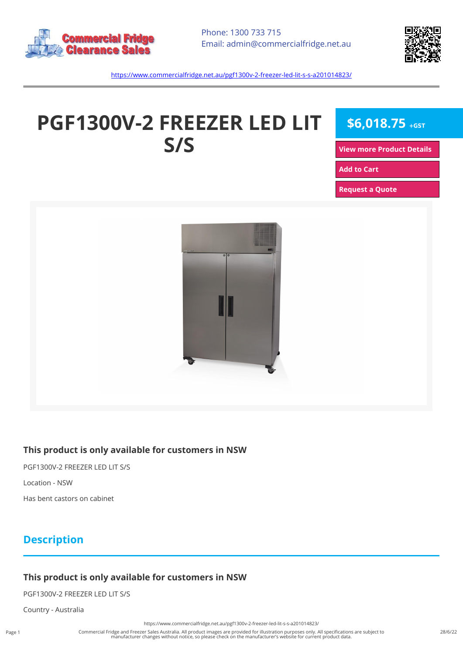



<https://www.commercialfridge.net.au/pgf1300v-2-freezer-led-lit-s-s-a201014823/>

# **PGF1300V-2 FREEZER LED LIT S/S**

**\$6,018.75 +GST**

**[View more Product Details](https://www.commercialfridge.net.au/pgf1300v-2-freezer-led-lit-s-s-a201014823/)**

**[Add to Cart](https://www.commercialfridge.net.au/pgf1300v-2-freezer-led-lit-s-s-a201014823/?addtocart=1)** 

**[Request a Quote](https://www.commercialfridge.net.au/pgf1300v-2-freezer-led-lit-s-s-a201014823/?requestaquote=1)** 



#### **This product is only available for customers in NSW**

PGF1300V-2 FREEZER LED LIT S/S

Location - NSW

Has bent castors on cabinet

## **Description**

#### **This product is only available for customers in NSW**

PGF1300V-2 FREEZER LED LIT S/S

Country - Australia

<https://www.commercialfridge.net.au/pgf1300v-2-freezer-led-lit-s-s-a201014823/>

Commercial Fridge and Freezer Sales Australia. All product images are provided for illustration purposes only. All specifications are subject to manufacturer changes without notice, so please check on the manufacturer's website for current product data.